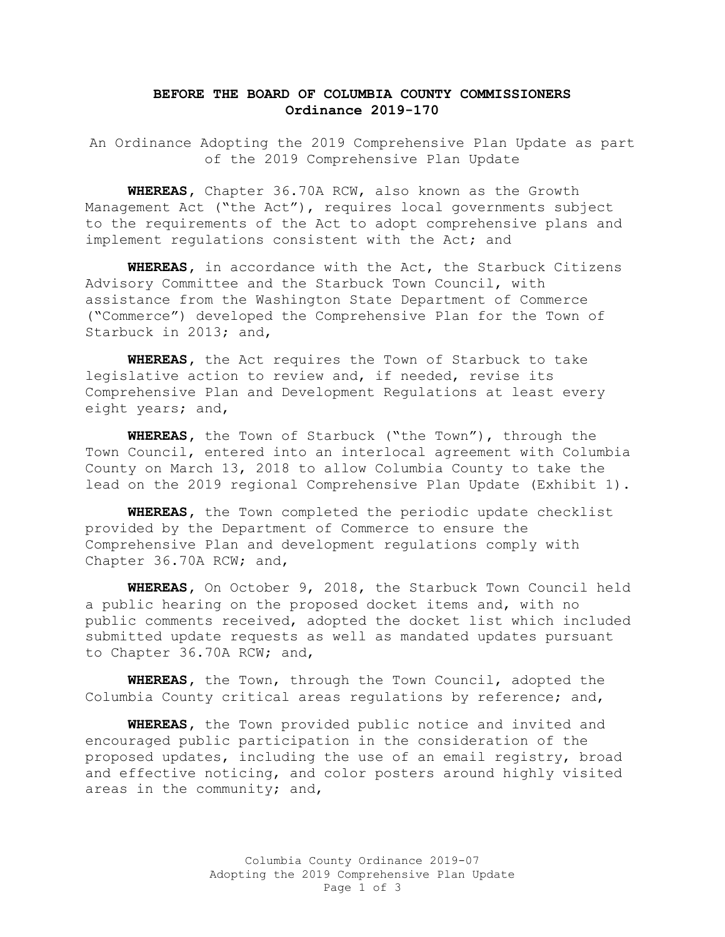## **BEFORE THE BOARD OF COLUMBIA COUNTY COMMISSIONERS Ordinance 2019-170**

An Ordinance Adopting the 2019 Comprehensive Plan Update as part of the 2019 Comprehensive Plan Update

**WHEREAS,** Chapter 36.70A RCW, also known as the Growth Management Act ("the Act"), requires local governments subject to the requirements of the Act to adopt comprehensive plans and implement regulations consistent with the Act; and

**WHEREAS,** in accordance with the Act, the Starbuck Citizens Advisory Committee and the Starbuck Town Council, with assistance from the Washington State Department of Commerce ("Commerce") developed the Comprehensive Plan for the Town of Starbuck in 2013; and,

**WHEREAS,** the Act requires the Town of Starbuck to take legislative action to review and, if needed, revise its Comprehensive Plan and Development Regulations at least every eight years; and,

**WHEREAS,** the Town of Starbuck ("the Town"), through the Town Council, entered into an interlocal agreement with Columbia County on March 13, 2018 to allow Columbia County to take the lead on the 2019 regional Comprehensive Plan Update (Exhibit 1).

**WHEREAS,** the Town completed the periodic update checklist provided by the Department of Commerce to ensure the Comprehensive Plan and development regulations comply with Chapter 36.70A RCW; and,

**WHEREAS,** On October 9, 2018, the Starbuck Town Council held a public hearing on the proposed docket items and, with no public comments received, adopted the docket list which included submitted update requests as well as mandated updates pursuant to Chapter 36.70A RCW; and,

**WHEREAS,** the Town, through the Town Council, adopted the Columbia County critical areas regulations by reference; and,

**WHEREAS,** the Town provided public notice and invited and encouraged public participation in the consideration of the proposed updates, including the use of an email registry, broad and effective noticing, and color posters around highly visited areas in the community; and,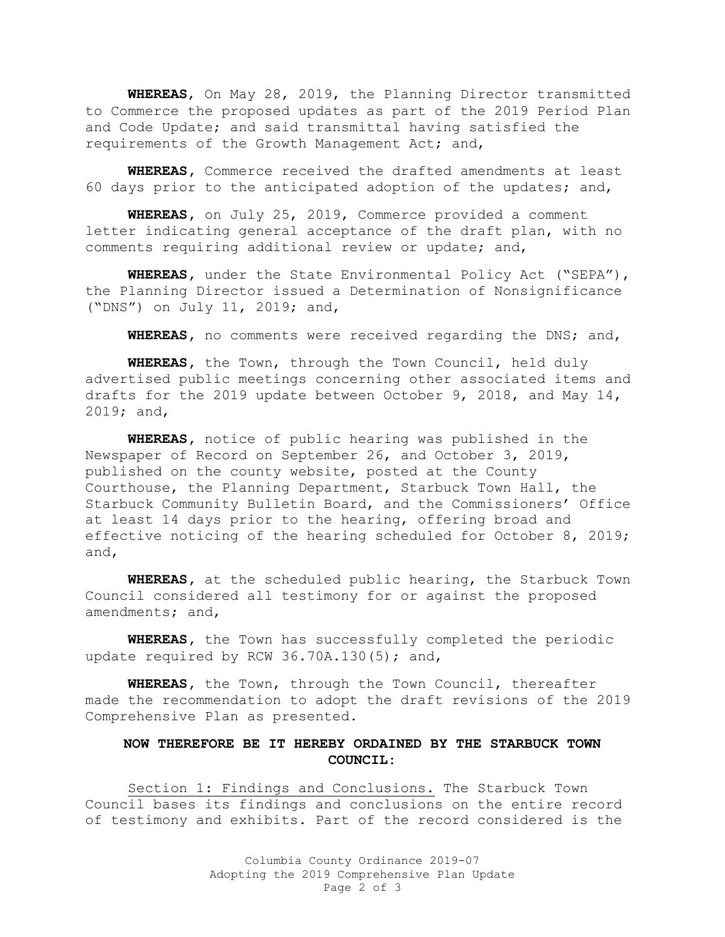**WHEREAS**, On May 28, 2019, the Planning Director transmitted to Commerce the proposed updates as part of the 2019 Period Plan and Code Update; and said transmittal having satisfied the requirements of the Growth Management Act; and,

**WHEREAS,** Commerce received the drafted amendments at least 60 days prior to the anticipated adoption of the updates; and,

**WHEREAS,** on July 25, 2019, Commerce provided a comment letter indicating general acceptance of the draft plan, with no comments requiring additional review or update; and,

**WHEREAS,** under the State Environmental Policy Act ("SEPA"), the Planning Director issued a Determination of Nonsignificance ("DNS") on July 11, 2019; and,

**WHEREAS,** no comments were received regarding the DNS; and,

**WHEREAS,** the Town, through the Town Council, held duly advertised public meetings concerning other associated items and drafts for the 2019 update between October 9, 2018, and May 14, 2019; and,

**WHEREAS,** notice of public hearing was published in the Newspaper of Record on September 26, and October 3, 2019, published on the county website, posted at the County Courthouse, the Planning Department, Starbuck Town Hall, the Starbuck Community Bulletin Board, and the Commissioners' Office at least 14 days prior to the hearing, offering broad and effective noticing of the hearing scheduled for October 8, 2019; and,

**WHEREAS,** at the scheduled public hearing, the Starbuck Town Council considered all testimony for or against the proposed amendments; and,

**WHEREAS,** the Town has successfully completed the periodic update required by RCW 36.70A.130(5); and,

**WHEREAS,** the Town, through the Town Council, thereafter made the recommendation to adopt the draft revisions of the 2019 Comprehensive Plan as presented.

## **NOW THEREFORE BE IT HEREBY ORDAINED BY THE STARBUCK TOWN COUNCIL:**

Section 1: Findings and Conclusions. The Starbuck Town Council bases its findings and conclusions on the entire record of testimony and exhibits. Part of the record considered is the

> Columbia County Ordinance 2019-07 Adopting the 2019 Comprehensive Plan Update Page 2 of 3